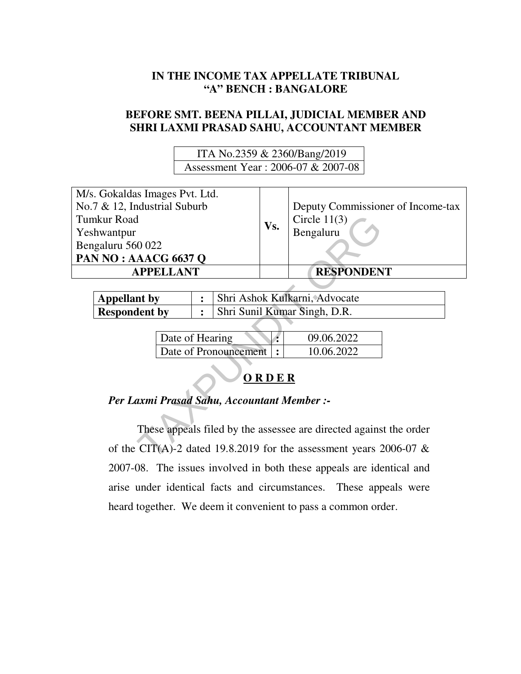# **IN THE INCOME TAX APPELLATE TRIBUNAL "A" BENCH : BANGALORE**

# **BEFORE SMT. BEENA PILLAI, JUDICIAL MEMBER AND SHRI LAXMI PRASAD SAHU, ACCOUNTANT MEMBER**

 ITA No.2359 & 2360/Bang/2019 Assessment Year : 2006-07 & 2007-08

| M/s. Gokaldas Images Pvt. Ltd.                                        |                       |  |     |                                   |  |  |
|-----------------------------------------------------------------------|-----------------------|--|-----|-----------------------------------|--|--|
| No.7 & 12, Industrial Suburb                                          |                       |  | Vs. | Deputy Commissioner of Income-tax |  |  |
| <b>Tumkur Road</b>                                                    |                       |  |     | Circle $11(3)$                    |  |  |
| Yeshwantpur                                                           |                       |  |     | Bengaluru                         |  |  |
| Bengaluru 560 022                                                     |                       |  |     |                                   |  |  |
| PAN NO: AAACG 6637 Q                                                  |                       |  |     |                                   |  |  |
| <b>APPELLANT</b>                                                      |                       |  |     | <b>RESPONDENT</b>                 |  |  |
|                                                                       |                       |  |     |                                   |  |  |
| <b>Appellant by</b>                                                   | :                     |  |     | Shri Ashok Kulkarni, Advocate     |  |  |
| <b>Respondent by</b>                                                  | $\ddot{\cdot}$        |  |     | Shri Sunil Kumar Singh, D.R.      |  |  |
|                                                                       |                       |  |     |                                   |  |  |
| Date of Hearing                                                       |                       |  |     | 09.06.2022                        |  |  |
|                                                                       | Date of Pronouncement |  |     | 10.06.2022                        |  |  |
| ORDER                                                                 |                       |  |     |                                   |  |  |
| Per Laxmi Prasad Sahu, Accountant Member :-                           |                       |  |     |                                   |  |  |
| These appeals filed by the assessee are directed against the order    |                       |  |     |                                   |  |  |
| of the CIT(A)-2 dated 19.8.2019 for the assessment years 2006-07 $\&$ |                       |  |     |                                   |  |  |

| <b>Appellant</b> by  | Shri Ashok Kulkarni, Advocate |
|----------------------|-------------------------------|
| <b>Respondent by</b> | Shri Sunil Kumar Singh, D.R.  |

| Date of Hearing          | 09.06.2022 |
|--------------------------|------------|
| Date of Pronouncement  : | 10.06,2022 |

# **O R D E R**

# *Per Laxmi Prasad Sahu, Accountant Member :-*

These appeals filed by the assessee are directed against the order of the CIT(A)-2 dated 19.8.2019 for the assessment years 2006-07 & 2007-08. The issues involved in both these appeals are identical and arise under identical facts and circumstances. These appeals were heard together. We deem it convenient to pass a common order.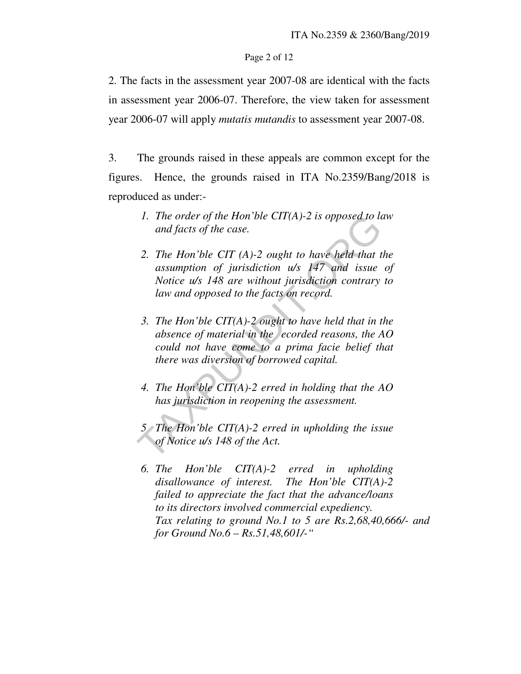### Page 2 of 12

2. The facts in the assessment year 2007-08 are identical with the facts in assessment year 2006-07. Therefore, the view taken for assessment year 2006-07 will apply *mutatis mutandis* to assessment year 2007-08.

3. The grounds raised in these appeals are common except for the figures. Hence, the grounds raised in ITA No.2359/Bang/2018 is reproduced as under:-

- *1. The order of the Hon'ble CIT(A)-2 is opposed to law and facts of the case.*
- *2. The Hon'ble CIT (A)-2 ought to have held that the assumption of jurisdiction u/s 147 and issue of Notice u/s 148 are without jurisdiction contrary to law and opposed to the facts on record.*  1. The order of the Hon'ble CIT(A)-2 is opposed to lamd facts of the case.<br>
2. The Hon'ble CIT (A)-2 ought to have held that the assumption of jurisdiction  $u/s$  147 and issue Notice  $u/s$  148 are without jurisdiction contr
- *3. The Hon'ble CIT(A)-2 ought to have held that in the absence of material in the ecorded reasons, the AO could not have come to a prima facie belief that there was diversion of borrowed capital.*
- *4. The Hon'ble CIT(A)-2 erred in holding that the AO has jurisdiction in reopening the assessment.*
- *5 The Hon'ble CIT(A)-2 erred in upholding the issue of Notice u/s 148 of the Act.*
- *6. The Hon'ble CIT(A)-2 erred in upholding disallowance of interest. The Hon'ble CIT(A)-2 failed to appreciate the fact that the advance/loans to its directors involved commercial expediency. Tax relating to ground No.1 to 5 are Rs.2,68,40,666/- and for Ground No.6 – Rs.51,48,601/-"*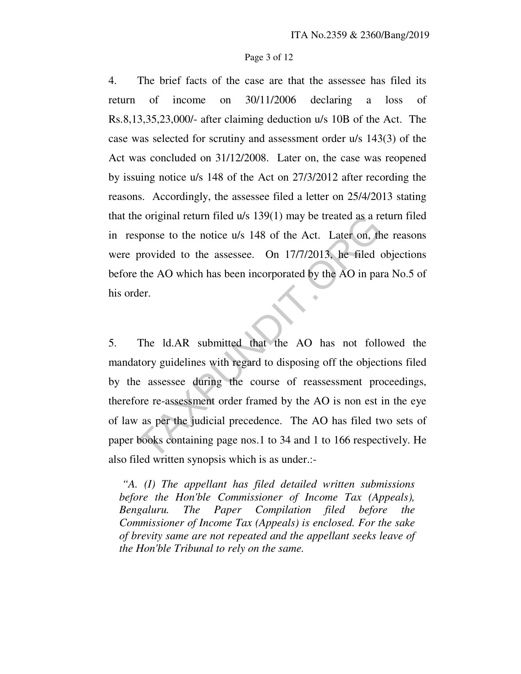#### Page 3 of 12

4. The brief facts of the case are that the assessee has filed its return of income on 30/11/2006 declaring a loss of Rs.8,13,35,23,000/- after claiming deduction u/s 10B of the Act. The case was selected for scrutiny and assessment order u/s 143(3) of the Act was concluded on 31/12/2008. Later on, the case was reopened by issuing notice u/s 148 of the Act on 27/3/2012 after recording the reasons. Accordingly, the assessee filed a letter on 25/4/2013 stating that the original return filed u/s 139(1) may be treated as a return filed in response to the notice u/s 148 of the Act. Later on, the reasons were provided to the assessee. On 17/7/2013, he filed objections before the AO which has been incorporated by the AO in para No.5 of his order.

5. The ld.AR submitted that the AO has not followed the mandatory guidelines with regard to disposing off the objections filed by the assessee during the course of reassessment proceedings, therefore re-assessment order framed by the AO is non est in the eye of law as per the judicial precedence. The AO has filed two sets of paper books containing page nos.1 to 34 and 1 to 166 respectively. He also filed written synopsis which is as under.: is a geometric original return filed u/s 139(1) may be treated as a response to the notice u/s 148 of the Act. Later on, the provided to the assessee. On 17/7/2013, he filed the AO which has been incorporated by the AO in

 *"A. (I) The appellant has filed detailed written submissions before the Hon'ble Commissioner of Income Tax (Appeals), Bengaluru. The Paper Compilation filed before the Commissioner of Income Tax (Appeals) is enclosed. For the sake of brevity same are not repeated and the appellant seeks leave of the Hon'ble Tribunal to rely on the same.*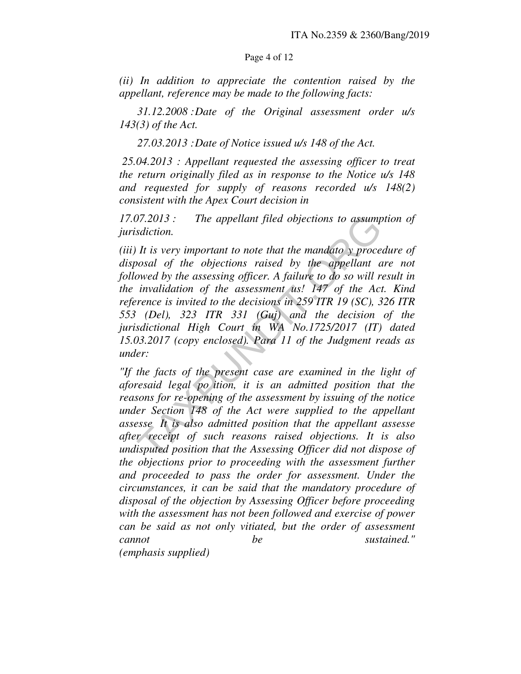### Page 4 of 12

*(ii) In addition to appreciate the contention raised by the appellant, reference may be made to the following facts:* 

 *31.12.2008 : Date of the Original assessment order u/s 143(3) of the Act.* 

 *27.03.2013 : Date of Notice issued u/s 148 of the Act.* 

 *25.04.2013 : Appellant requested the assessing officer to treat the return originally filed as in response to the Notice u/s 148 and requested for supply of reasons recorded u/s 148(2) consistent with the Apex Court decision in* 

*17.07.2013 : The appellant filed objections to assumption of jurisdiction.* 

*(iii) It is very important to note that the mandato y procedure of disposal of the objections raised by the appellant are not followed by the assessing officer. A failure to do so will result in the invalidation of the assessment us! 147 of the Act. Kind reference is invited to the decisions in 259 ITR 19 (SC), 326 ITR 553 (Del), 323 ITR 331 (Guj) and the decision of the jurisdictional High Court in WA No.1725/2017 (IT) dated 15.03.2017 (copy enclosed). Para 11 of the Judgment reads as under:*  2013: The appellant filed objections to assump<br>sdiction.<br>It is very important to note that the mandato y proce<br>posal of the objections raised by the appellant a<br>owed by the assessing officer. A failure to do so will r<br>inv

*"If the facts of the present case are examined in the light of aforesaid legal po ition, it is an admitted position that the reasons for re-opening of the assessment by issuing of the notice under Section 148 of the Act were supplied to the appellant assesse It is also admitted position that the appellant assesse after receipt of such reasons raised objections. It is also undisputed position that the Assessing Officer did not dispose of the objections prior to proceeding with the assessment further and proceeded to pass the order for assessment. Under the circumstances, it can be said that the mandatory procedure of disposal of the objection by Assessing Officer before proceeding with the assessment has not been followed and exercise of power can be said as not only vitiated, but the order of assessment cannot be sustained." (emphasis supplied)*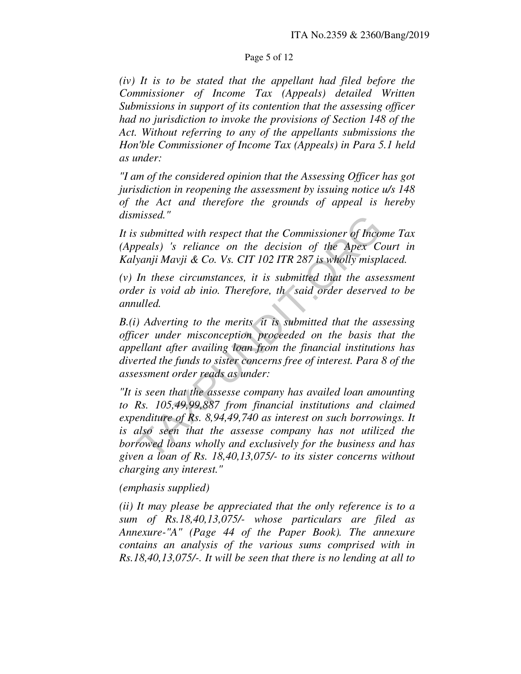# Page 5 of 12

*(iv) It is to be stated that the appellant had filed before the Commissioner of Income Tax (Appeals) detailed Written Submissions in support of its contention that the assessing officer had no jurisdiction to invoke the provisions of Section 148 of the Act. Without referring to any of the appellants submissions the Hon'ble Commissioner of Income Tax (Appeals) in Para 5.1 held as under:* 

*"I am of the considered opinion that the Assessing Officer has got jurisdiction in reopening the assessment by issuing notice u/s 148 of the Act and therefore the grounds of appeal is hereby dismissed."* 

*It is submitted with respect that the Commissioner of Income Tax (Appeals) 's reliance on the decision of the Apex Court in Kalyanji Mavji & Co. Vs. CIT 102 ITR 287 is wholly misplaced.* 

*(v) In these circumstances, it is submitted that the assessment order is void ab inio. Therefore, th said order deserved to be annulled.* 

*B.(i) Adverting to the merits it is submitted that the assessing officer under misconception proceeded on the basis that the appellant after availing loan from the financial institutions has diverted the funds to sister concerns free of interest. Para 8 of the assessment order reads as under:* 

*"It is seen that the assesse company has availed loan amounting to Rs. 105,49,99,887 from financial institutions and claimed expenditure of Rs. 8,94,49,740 as interest on such borrowings. It is also seen that the assesse company has not utilized the borrowed loans wholly and exclusively for the business and has given a loan of Rs. 18,40,13,075/- to its sister concerns without charging any interest."*  missed."<br>
Submitted with respect that the Commissioner of Inco.<br>
peals) 's reliance on the decision of the Apex Co<br>
yanji Mavji & Co. Vs. CIT 102 ITR 287 is wholly mispl<br>
In these circumstances, it is submitted that the as

*(emphasis supplied)* 

*(ii) It may please be appreciated that the only reference is to a sum of Rs.18,40,13,075/- whose particulars are filed as Annexure-"A" (Page 44 of the Paper Book). The annexure contains an analysis of the various sums comprised with in Rs.18,40,13,075/-. It will be seen that there is no lending at all to*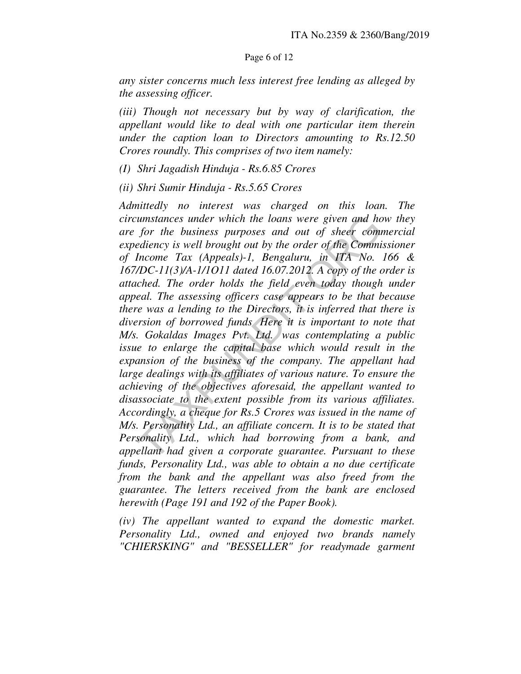### Page 6 of 12

*any sister concerns much less interest free lending as alleged by the assessing officer.* 

*(iii) Though not necessary but by way of clarification, the appellant would like to deal with one particular item therein under the caption loan to Directors amounting to Rs.12.50 Crores roundly. This comprises of two item namely:* 

*(I) Shri Jagadish Hinduja - Rs.6.85 Crores* 

*(ii) Shri Sumir Hinduja - Rs.5.65 Crores* 

*Admittedly no interest was charged on this loan. The circumstances under which the loans were given and how they are for the business purposes and out of sheer commercial expediency is well brought out by the order of the Commissioner of Income Tax (Appeals)-1, Bengaluru, in ITA No. 166 & 167/DC-11(3)/A-1/1O11 dated 16.07.2012. A copy of the order is attached. The order holds the field even today though under appeal. The assessing officers case appears to be that because there was a lending to the Directors, it is inferred that there is diversion of borrowed funds Here it is important to note that M/s. Gokaldas Images Pvt. Ltd. was contemplating a public*  issue to enlarge the capital base which would result in the *expansion of the business of the company. The appellant had*  large dealings with its affiliates of various nature. To ensure the *achieving of the objectives aforesaid, the appellant wanted to disassociate to the extent possible from its various affiliates. Accordingly, a cheque for Rs.5 Crores was issued in the name of M/s. Personality Ltd., an affiliate concern. It is to be stated that Personality Ltd., which had borrowing from a bank, and appellant had given a corporate guarantee. Pursuant to these funds, Personality Ltd., was able to obtain a no due certificate from the bank and the appellant was also freed from the guarantee. The letters received from the bank are enclosed herewith (Page 191 and 192 of the Paper Book).*  cumstances under which the loans were given and ho<br>for the business purposes and out of sheer comm<br>ediency is well brought out by the order of the Commi<br>Income Tax (Appeals)-1, Bengaluru, in ITA No.<br>/DC-11(3)/A-1/1011 dat

*(iv) The appellant wanted to expand the domestic market. Personality Ltd., owned and enjoyed two brands namely "CHIERSKING" and "BESSELLER" for readymade garment*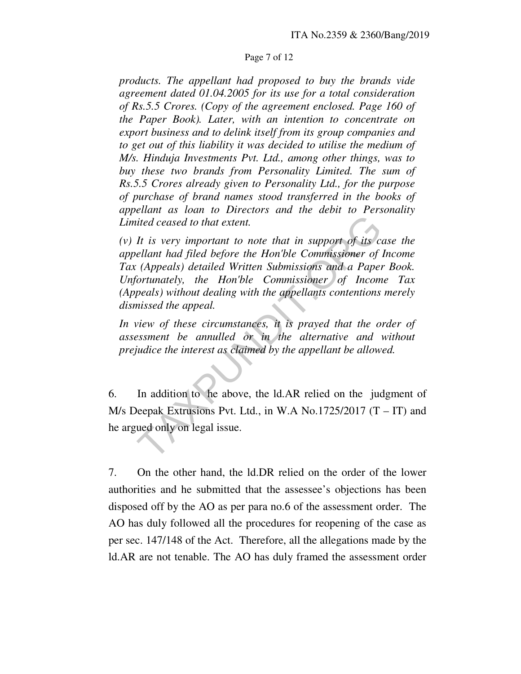### Page 7 of 12

*products. The appellant had proposed to buy the brands vide agreement dated 01.04.2005 for its use for a total consideration of Rs.5.5 Crores. (Copy of the agreement enclosed. Page 160 of the Paper Book). Later, with an intention to concentrate on export business and to delink itself from its group companies and to get out of this liability it was decided to utilise the medium of M/s. Hinduja Investments Pvt. Ltd., among other things, was to buy these two brands from Personality Limited. The sum of Rs.5.5 Crores already given to Personality Ltd., for the purpose of purchase of brand names stood transferred in the books of appellant as loan to Directors and the debit to Personality Limited ceased to that extent.* 

*(v) It is very important to note that in support of its case the appellant had filed before the Hon'ble Commissioner of Income Tax (Appeals) detailed Written Submissions and a Paper Book. Unfortunately, the Hon'ble Commissioner of Income Tax (Appeals) without dealing with the appellants contentions merely dismissed the appeal.*  ited ceased to that extent.<br>It is very important to note that in support of its collant had filed before the Hon'ble Commissioner of (Appeals) detailed Written Submissions and a Paper fortunately, the Hon'ble Commissions a

*In view of these circumstances, it is prayed that the order of assessment be annulled or in the alternative and without prejudice the interest as claimed by the appellant be allowed.* 

6. In addition to he above, the ld.AR relied on the judgment of M/s Deepak Extrusions Pvt. Ltd., in W.A No.1725/2017  $(T - IT)$  and he argued only on legal issue.

7. On the other hand, the ld.DR relied on the order of the lower authorities and he submitted that the assessee's objections has been disposed off by the AO as per para no.6 of the assessment order. The AO has duly followed all the procedures for reopening of the case as per sec. 147/148 of the Act. Therefore, all the allegations made by the ld.AR are not tenable. The AO has duly framed the assessment order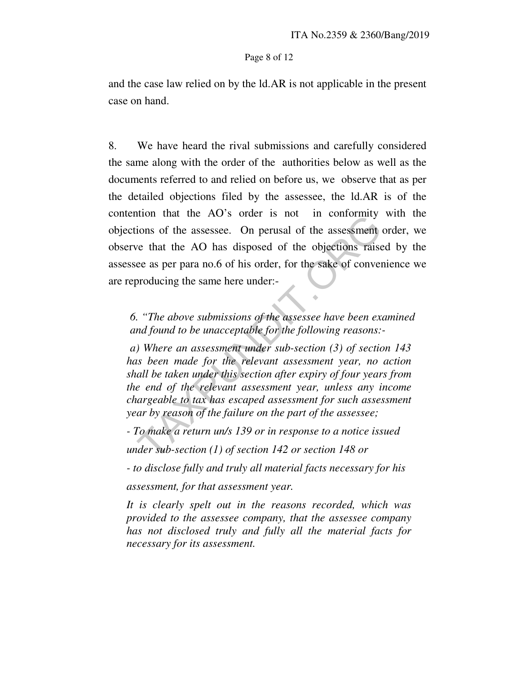#### Page 8 of 12

and the case law relied on by the ld.AR is not applicable in the present case on hand.

8. We have heard the rival submissions and carefully considered the same along with the order of the authorities below as well as the documents referred to and relied on before us, we observe that as per the detailed objections filed by the assessee, the ld.AR is of the contention that the AO's order is not in conformity with the objections of the assessee. On perusal of the assessment order, we observe that the AO has disposed of the objections raised by the assessee as per para no.6 of his order, for the sake of convenience we are reproducing the same here under:-

*6. "The above submissions of the assessee have been examined and found to be unacceptable for the following reasons:-* 

*a) Where an assessment under sub-section (3) of section 143 has been made for the relevant assessment year, no action shall be taken under this section after expiry of four years from the end of the relevant assessment year, unless any income chargeable to tax has escaped assessment for such assessment year by reason of the failure on the part of the assessee;*  The matrix and solver is not all must commonling<br>tions of the assessee. On perusal of the assessment<br>ve that the AO has disposed of the objections raise<br>ee as per para no.6 of his order, for the sake of conver<br>producing t

*- To make a return un/s 139 or in response to a notice issued* 

*under sub-section (1) of section 142 or section 148 or* 

*- to disclose fully and truly all material facts necessary for his* 

*assessment, for that assessment year.* 

*It is clearly spelt out in the reasons recorded, which was provided to the assessee company, that the assessee company has not disclosed truly and fully all the material facts for necessary for its assessment.*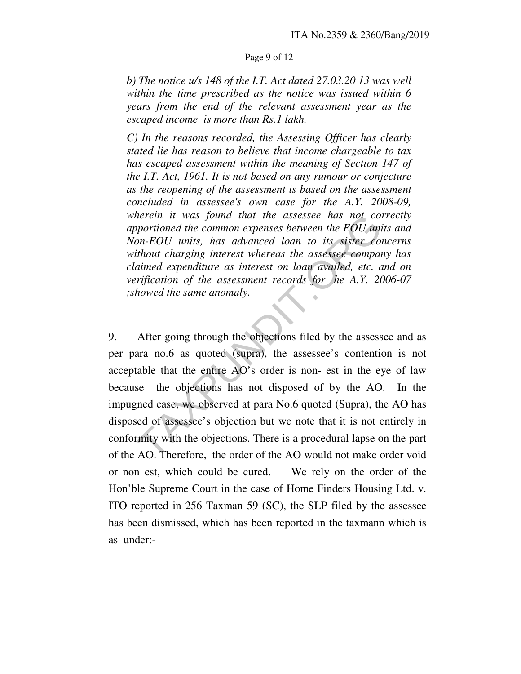### Page 9 of 12

*b) The notice u/s 148 of the I.T. Act dated 27.03.20 13 was well within the time prescribed as the notice was issued within 6 years from the end of the relevant assessment year as the escaped income is more than Rs.1 lakh.* 

*C) In the reasons recorded, the Assessing Officer has clearly stated lie has reason to believe that income chargeable to tax has escaped assessment within the meaning of Section 147 of the I.T. Act, 1961. It is not based on any rumour or conjecture as the reopening of the assessment is based on the assessment concluded in assessee's own case for the A.Y. 2008-09, wherein it was found that the assessee has not correctly apportioned the common expenses between the EOU units and Non-EOU units, has advanced loan to its sister concerns without charging interest whereas the assessee company has claimed expenditure as interest on loan availed, etc. and on verification of the assessment records for he A.Y. 2006-07 ;showed the same anomaly.* 

9. After going through the objections filed by the assessee and as per para no.6 as quoted (supra), the assessee's contention is not acceptable that the entire AO's order is non- est in the eye of law because the objections has not disposed of by the AO. In the impugned case, we observed at para No.6 quoted (Supra), the AO has disposed of assessee's objection but we note that it is not entirely in conformity with the objections. There is a procedural lapse on the part of the AO. Therefore, the order of the AO would not make order void or non est, which could be cured. We rely on the order of the Hon'ble Supreme Court in the case of Home Finders Housing Ltd. v. ITO reported in 256 Taxman 59 (SC), the SLP filed by the assessee has been dismissed, which has been reported in the taxmann which is as under: therein it was found that the assessee has not comportioned the common expenses between the EOU union-EOU units, has advanced loan to its sister coil<br>thout charging interest whereas the assessee comparaimed expenditure as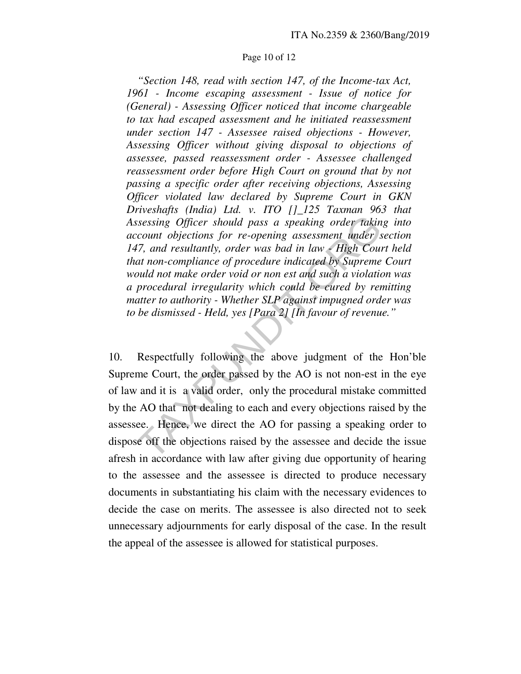#### Page 10 of 12

 *"Section 148, read with section 147, of the Income-tax Act, 1961 - Income escaping assessment - Issue of notice for (General) - Assessing Officer noticed that income chargeable to tax had escaped assessment and he initiated reassessment under section 147 - Assessee raised objections - However, Assessing Officer without giving disposal to objections of assessee, passed reassessment order - Assessee challenged reassessment order before High Court on ground that by not passing a specific order after receiving objections, Assessing Officer violated law declared by Supreme Court in GKN Driveshafts (India) Ltd. v. ITO []\_125 Taxman 963 that Assessing Officer should pass a speaking order taking into account objections for re-opening assessment under section 147, and resultantly, order was bad in law - High Court held that non-compliance of procedure indicated by Supreme Court would not make order void or non est and such a violation was a procedural irregularity which could be cured by remitting matter to authority - Whether SLP against impugned order was to be dismissed - Held, yes [Para 2] [In favour of revenue."* 

10. Respectfully following the above judgment of the Hon'ble Supreme Court, the order passed by the AO is not non-est in the eye of law and it is a valid order, only the procedural mistake committed by the AO that not dealing to each and every objections raised by the assessee. Hence, we direct the AO for passing a speaking order to dispose off the objections raised by the assessee and decide the issue afresh in accordance with law after giving due opportunity of hearing to the assessee and the assessee is directed to produce necessary documents in substantiating his claim with the necessary evidences to decide the case on merits. The assessee is also directed not to seek unnecessary adjournments for early disposal of the case. In the result the appeal of the assessee is allowed for statistical purposes. ssessing Officer should pass a speaking order takin<br>ccount objections for re-opening assessment under s<br>17, and resultantly, order was bad in law - High Count<br>17, and resultantly, order was bad in law - High Count<br>17, and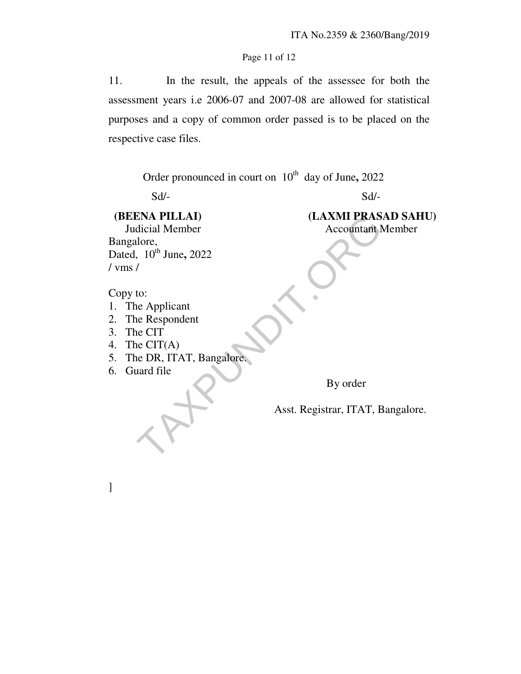# Page 11 of 12

11. In the result, the appeals of the assessee for both the assessment years i.e 2006-07 and 2007-08 are allowed for statistical purposes and a copy of common order passed is to be placed on the respective case files.

Order pronounced in court on 10<sup>th</sup> day of June, 2022

 $Sd$ - $Sd$ -

Bangalore, Dated, 10<sup>th</sup> June, 2022 / vms / ENA PILLAI)<br>
dicial Member<br>
lore,<br>
10<sup>th</sup> June, 2022<br>
/<br>
to:<br>
ne Applicant<br>
ie Respondent<br>
e CIT<br>
e CIT(A)<br>
e DR, ITAT, Bangalore,<br>
aard file<br>
By order<br>
Asst. Registrar, ITAT, E

 **(BEENA PILLAI) (LAXMI PRASAD SAHU) Judicial Member** Accountant Member

Copy to:

- 1. The Applicant
- 2. The Respondent
- 3. The CIT
- 4. The CIT(A)
- 5. The DR, ITAT, Bangalore.
- 6. Guard file

]

By order

Asst. Registrar, ITAT, Bangalore.